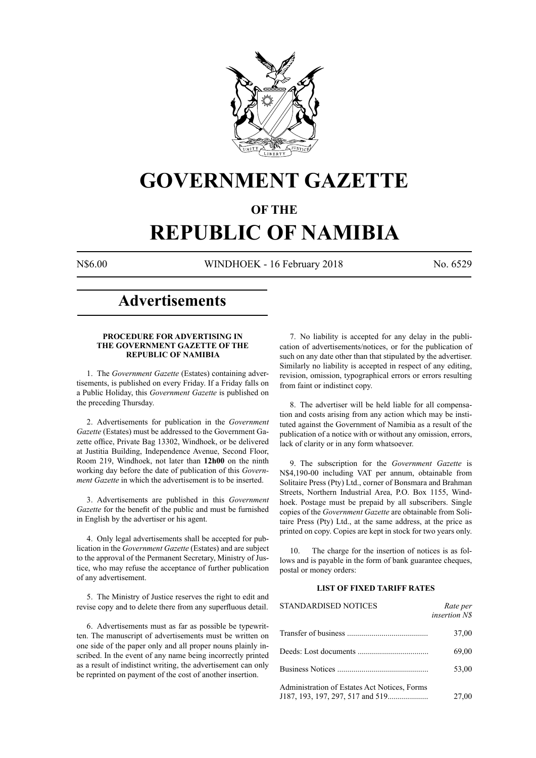

## **GOVERNMENT GAZETTE**

### **OF THE**

# **REPUBLIC OF NAMIBIA**

N\$6.00 WINDHOEK - 16 February 2018 No. 6529

## **Advertisements**

#### **PROCEDURE FOR ADVERTISING IN THE GOVERNMENT GAZETTE OF THE REPUBLIC OF NAMIBIA**

1. The *Government Gazette* (Estates) containing advertisements, is published on every Friday. If a Friday falls on a Public Holiday, this *Government Gazette* is published on the preceding Thursday.

2. Advertisements for publication in the *Government Gazette* (Estates) must be addressed to the Government Gazette office, Private Bag 13302, Windhoek, or be delivered at Justitia Building, Independence Avenue, Second Floor, Room 219, Windhoek, not later than **12h00** on the ninth working day before the date of publication of this *Government Gazette* in which the advertisement is to be inserted.

3. Advertisements are published in this *Government Gazette* for the benefit of the public and must be furnished in English by the advertiser or his agent.

4. Only legal advertisements shall be accepted for publication in the *Government Gazette* (Estates) and are subject to the approval of the Permanent Secretary, Ministry of Justice, who may refuse the acceptance of further publication of any advertisement.

5. The Ministry of Justice reserves the right to edit and revise copy and to delete there from any superfluous detail.

6. Advertisements must as far as possible be typewritten. The manuscript of advertisements must be written on one side of the paper only and all proper nouns plainly inscribed. In the event of any name being incorrectly printed as a result of indistinct writing, the advertisement can only be reprinted on payment of the cost of another insertion.

7. No liability is accepted for any delay in the publication of advertisements/notices, or for the publication of such on any date other than that stipulated by the advertiser. Similarly no liability is accepted in respect of any editing, revision, omission, typographical errors or errors resulting from faint or indistinct copy.

8. The advertiser will be held liable for all compensation and costs arising from any action which may be instituted against the Government of Namibia as a result of the publication of a notice with or without any omission, errors, lack of clarity or in any form whatsoever.

9. The subscription for the *Government Gazette* is N\$4,190-00 including VAT per annum, obtainable from Solitaire Press (Pty) Ltd., corner of Bonsmara and Brahman Streets, Northern Industrial Area, P.O. Box 1155, Windhoek. Postage must be prepaid by all subscribers. Single copies of the *Government Gazette* are obtainable from Solitaire Press (Pty) Ltd., at the same address, at the price as printed on copy. Copies are kept in stock for two years only.

10. The charge for the insertion of notices is as follows and is payable in the form of bank guarantee cheques, postal or money orders:

#### **LIST OF FIXED TARIFF RATES**

| <b>STANDARDISED NOTICES</b>                  | Rate per<br><i>insertion NS</i> |
|----------------------------------------------|---------------------------------|
|                                              | 37,00                           |
|                                              | 69,00                           |
|                                              | 53,00                           |
| Administration of Estates Act Notices, Forms | 27,00                           |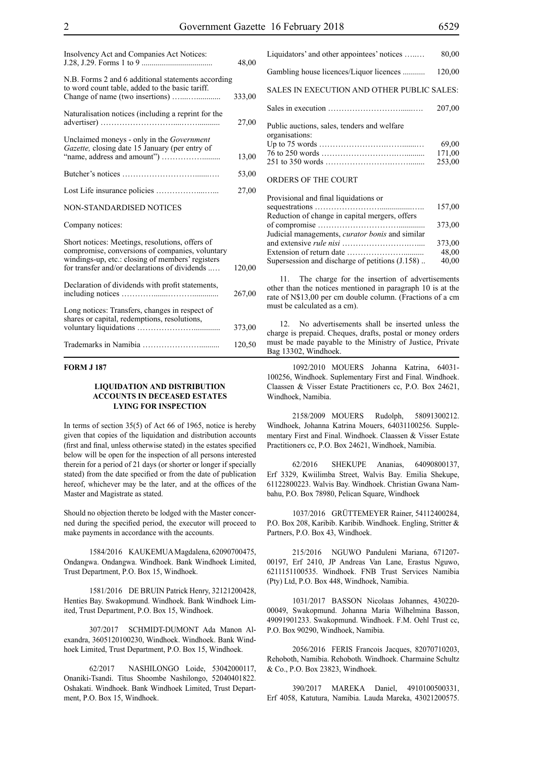| Insolvency Act and Companies Act Notices:                                                                                                                                                               | 48,00  |
|---------------------------------------------------------------------------------------------------------------------------------------------------------------------------------------------------------|--------|
| N.B. Forms 2 and 6 additional statements according<br>to word count table, added to the basic tariff.                                                                                                   | 333,00 |
| Naturalisation notices (including a reprint for the                                                                                                                                                     | 27,00  |
| Unclaimed moneys - only in the <i>Government</i><br>Gazette, closing date 15 January (per entry of                                                                                                      | 13,00  |
|                                                                                                                                                                                                         | 53,00  |
|                                                                                                                                                                                                         | 27,00  |
| NON-STANDARDISED NOTICES                                                                                                                                                                                |        |
| Company notices:                                                                                                                                                                                        |        |
| Short notices: Meetings, resolutions, offers of<br>compromise, conversions of companies, voluntary<br>windings-up, etc.: closing of members' registers<br>for transfer and/or declarations of dividends | 120,00 |
| Declaration of dividends with profit statements,                                                                                                                                                        | 267,00 |
| Long notices: Transfers, changes in respect of<br>shares or capital, redemptions, resolutions,                                                                                                          | 373,00 |
|                                                                                                                                                                                                         | 120,50 |

#### **FORM J 187**

#### **LIQUIDATION AND DISTRIBUTION ACCOUNTS IN DECEASED ESTATES LYING FOR INSPECTION**

In terms of section 35(5) of Act 66 of 1965, notice is hereby given that copies of the liquidation and distribution accounts (first and final, unless otherwise stated) in the estates specified below will be open for the inspection of all persons interested therein for a period of 21 days (or shorter or longer if specially stated) from the date specified or from the date of publication hereof, whichever may be the later, and at the offices of the Master and Magistrate as stated.

Should no objection thereto be lodged with the Master concerned during the specified period, the executor will proceed to make payments in accordance with the accounts.

1584/2016 KAUKEMUA Magdalena, 62090700475, Ondangwa. Ondangwa. Windhoek. Bank Windhoek Limited, Trust Department, P.O. Box 15, Windhoek.

1581/2016 DE BRUIN Patrick Henry, 32121200428, Henties Bay. Swakopmund. Windhoek. Bank Windhoek Limited, Trust Department, P.O. Box 15, Windhoek.

307/2017 SCHMIDT-DUMONT Ada Manon Alexandra, 3605120100230, Windhoek. Windhoek. Bank Windhoek Limited, Trust Department, P.O. Box 15, Windhoek.

62/2017 NASHILONGO Loide, 53042000117, Onaniki-Tsandi. Titus Shoombe Nashilongo, 52040401822. Oshakati. Windhoek. Bank Windhoek Limited, Trust Department, P.O. Box 15, Windhoek.

| Liquidators' and other appointees' notices                    | 80,00                     |
|---------------------------------------------------------------|---------------------------|
| Gambling house licences/Liquor licences                       | 120,00                    |
| SALES IN EXECUTION AND OTHER PUBLIC SALES:                    |                           |
|                                                               | 207,00                    |
| Public auctions, sales, tenders and welfare<br>organisations: | 69,00<br>171,00<br>253,00 |
| ORDERS OF THE COURT                                           |                           |

| Provisional and final liquidations or                  |        |
|--------------------------------------------------------|--------|
|                                                        | 157,00 |
| Reduction of change in capital mergers, offers         |        |
|                                                        | 373,00 |
| Judicial managements, <i>curator bonis</i> and similar |        |
|                                                        | 373,00 |
|                                                        | 48,00  |
| Supersession and discharge of petitions (J.158)        | 40,00  |

11. The charge for the insertion of advertisements other than the notices mentioned in paragraph 10 is at the rate of N\$13,00 per cm double column. (Fractions of a cm must be calculated as a cm).

12. No advertisements shall be inserted unless the charge is prepaid. Cheques, drafts, postal or money orders must be made payable to the Ministry of Justice, Private Bag 13302, Windhoek.

1092/2010 MOUERS Johanna Katrina, 64031- 100256, Windhoek. Suplementary First and Final. Windhoek. Claassen & Visser Estate Practitioners cc, P.O. Box 24621, Windhoek, Namibia.

2158/2009 MOUERS Rudolph, 58091300212. Windhoek, Johanna Katrina Mouers, 64031100256. Supplementary First and Final. Windhoek. Claassen & Visser Estate Practitioners cc, P.O. Box 24621, Windhoek, Namibia.

62/2016 SHEKUPE Ananias, 64090800137, Erf 3329, Kwiilimba Street, Walvis Bay. Emilia Shekupe, 61122800223. Walvis Bay. Windhoek. Christian Gwana Nambahu, P.O. Box 78980, Pelican Square, Windhoek

1037/2016 GRÜTTEMEYER Rainer, 54112400284, P.O. Box 208, Karibib. Karibib. Windhoek. Engling, Stritter & Partners, P.O. Box 43, Windhoek.

215/2016 NGUWO Panduleni Mariana, 671207- 00197, Erf 2410, JP Andreas Van Lane, Erastus Nguwo, 6211151100535. Windhoek. FNB Trust Services Namibia (Pty) Ltd, P.O. Box 448, Windhoek, Namibia.

1031/2017 BASSON Nicolaas Johannes, 430220- 00049, Swakopmund. Johanna Maria Wilhelmina Basson, 49091901233. Swakopmund. Windhoek. F.M. Oehl Trust cc, P.O. Box 90290, Windhoek, Namibia.

2056/2016 FERIS Francois Jacques, 82070710203, Rehoboth, Namibia. Rehoboth. Windhoek. Charmaine Schultz & Co., P.O. Box 23823, Windhoek.

390/2017 MAREKA Daniel, 4910100500331, Erf 4058, Katutura, Namibia. Lauda Mareka, 43021200575.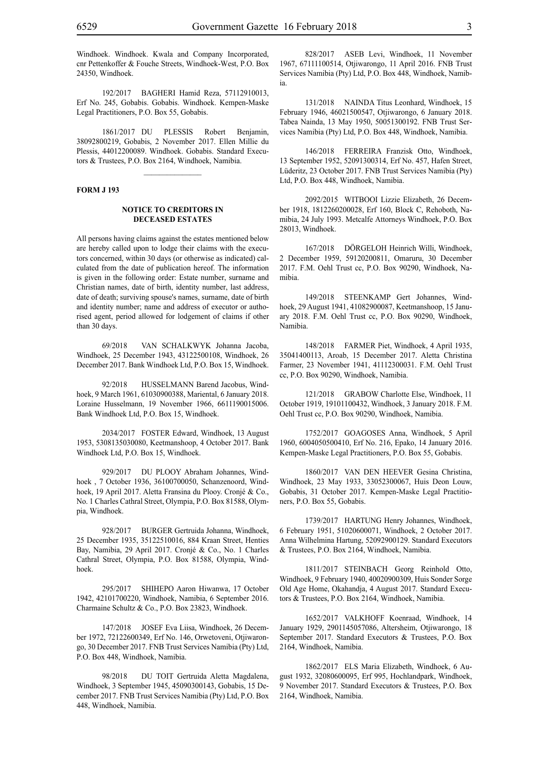Windhoek. Windhoek. Kwala and Company Incorporated, cnr Pettenkoffer & Fouche Streets, Windhoek-West, P.O. Box 24350, Windhoek.

192/2017 BAGHERI Hamid Reza, 57112910013, Erf No. 245, Gobabis. Gobabis. Windhoek. Kempen-Maske Legal Practitioners, P.O. Box 55, Gobabis.

1861/2017 DU PLESSIS Robert Benjamin, 38092800219, Gobabis, 2 November 2017. Ellen Millie du Plessis, 44012200089. Windhoek. Gobabis. Standard Executors & Trustees, P.O. Box 2164, Windhoek, Namibia.

 $\frac{1}{2}$ 

#### **FORM J 193**

#### **NOTICE TO CREDITORS IN DECEASED ESTATES**

All persons having claims against the estates mentioned below are hereby called upon to lodge their claims with the executors concerned, within 30 days (or otherwise as indicated) calculated from the date of publication hereof. The information is given in the following order: Estate number, surname and Christian names, date of birth, identity number, last address, date of death; surviving spouse's names, surname, date of birth and identity number; name and address of executor or authorised agent, period allowed for lodgement of claims if other than 30 days.

69/2018 VAN SCHALKWYK Johanna Jacoba, Windhoek, 25 December 1943, 43122500108, Windhoek, 26 December 2017. Bank Windhoek Ltd, P.O. Box 15, Windhoek.

92/2018 HUSSELMANN Barend Jacobus, Windhoek, 9 March 1961, 61030900388, Mariental, 6 January 2018. Loraine Husselmann, 19 November 1966, 6611190015006. Bank Windhoek Ltd, P.O. Box 15, Windhoek.

2034/2017 FOSTER Edward, Windhoek, 13 August 1953, 5308135030080, Keetmanshoop, 4 October 2017. Bank Windhoek Ltd, P.O. Box 15, Windhoek.

929/2017 DU PLOOY Abraham Johannes, Windhoek , 7 October 1936, 36100700050, Schanzenoord, Windhoek, 19 April 2017. Aletta Fransina du Plooy. Cronjé & Co., No. 1 Charles Cathral Street, Olympia, P.O. Box 81588, Olympia, Windhoek.

928/2017 BURGER Gertruida Johanna, Windhoek, 25 December 1935, 35122510016, 884 Kraan Street, Henties Bay, Namibia, 29 April 2017. Cronjé & Co., No. 1 Charles Cathral Street, Olympia, P.O. Box 81588, Olympia, Windhoek.

295/2017 SHIHEPO Aaron Hiwanwa, 17 October 1942, 42101700220, Windhoek, Namibia, 6 September 2016. Charmaine Schultz & Co., P.O. Box 23823, Windhoek.

147/2018 JOSEF Eva Liisa, Windhoek, 26 December 1972, 72122600349, Erf No. 146, Orwetoveni, Otjiwarongo, 30 December 2017. FNB Trust Services Namibia (Pty) Ltd, P.O. Box 448, Windhoek, Namibia.

98/2018 DU TOIT Gertruida Aletta Magdalena, Windhoek, 3 September 1945, 45090300143, Gobabis, 15 December 2017. FNB Trust Services Namibia (Pty) Ltd, P.O. Box 448, Windhoek, Namibia.

828/2017 ASEB Levi, Windhoek, 11 November 1967, 67111100514, Otjiwarongo, 11 April 2016. FNB Trust Services Namibia (Pty) Ltd, P.O. Box 448, Windhoek, Namibia.

131/2018 NAINDA Titus Leonhard, Windhoek, 15 February 1946, 46021500547, Otjiwarongo, 6 January 2018. Tabea Nainda, 13 May 1950, 50051300192. FNB Trust Services Namibia (Pty) Ltd, P.O. Box 448, Windhoek, Namibia.

146/2018 FERREIRA Franzisk Otto, Windhoek, 13 September 1952, 52091300314, Erf No. 457, Hafen Street, Lüderitz, 23 October 2017. FNB Trust Services Namibia (Pty) Ltd, P.O. Box 448, Windhoek, Namibia.

2092/2015 WITBOOI Lizzie Elizabeth, 26 December 1918, 1812260200028, Erf 160, Block C, Rehoboth, Namibia, 24 July 1993. Metcalfe Attorneys Windhoek, P.O. Box 28013, Windhoek.

167/2018 DÖRGELOH Heinrich Willi, Windhoek, 2 December 1959, 59120200811, Omaruru, 30 December 2017. F.M. Oehl Trust cc, P.O. Box 90290, Windhoek, Namibia.

149/2018 STEENKAMP Gert Johannes, Windhoek, 29 August 1941, 41082900087, Keetmanshoop, 15 January 2018. F.M. Oehl Trust cc, P.O. Box 90290, Windhoek, Namibia.

148/2018 FARMER Piet, Windhoek, 4 April 1935, 35041400113, Aroab, 15 December 2017. Aletta Christina Farmer, 23 November 1941, 41112300031. F.M. Oehl Trust cc, P.O. Box 90290, Windhoek, Namibia.

121/2018 GRABOW Charlotte Else, Windhoek, 11 October 1919, 19101100432, Windhoek, 3 January 2018. F.M. Oehl Trust cc, P.O. Box 90290, Windhoek, Namibia.

1752/2017 GOAGOSES Anna, Windhoek, 5 April 1960, 6004050500410, Erf No. 216, Epako, 14 January 2016. Kempen-Maske Legal Practitioners, P.O. Box 55, Gobabis.

1860/2017 VAN DEN HEEVER Gesina Christina, Windhoek, 23 May 1933, 33052300067, Huis Deon Louw, Gobabis, 31 October 2017. Kempen-Maske Legal Practitioners, P.O. Box 55, Gobabis.

1739/2017 HARTUNG Henry Johannes, Windhoek, 6 February 1951, 51020600071, Windhoek, 2 October 2017. Anna Wilhelmina Hartung, 52092900129. Standard Executors & Trustees, P.O. Box 2164, Windhoek, Namibia.

1811/2017 STEINBACH Georg Reinhold Otto, Windhoek, 9 February 1940, 40020900309, Huis Sonder Sorge Old Age Home, Okahandja, 4 August 2017. Standard Executors & Trustees, P.O. Box 2164, Windhoek, Namibia.

1652/2017 VALKHOFF Koenraad, Windhoek, 14 January 1929, 2901145057086, Altersheim, Otjiwarongo, 18 September 2017. Standard Executors & Trustees, P.O. Box 2164, Windhoek, Namibia.

1862/2017 ELS Maria Elizabeth, Windhoek, 6 August 1932, 32080600095, Erf 995, Hochlandpark, Windhoek, 9 November 2017. Standard Executors & Trustees, P.O. Box 2164, Windhoek, Namibia.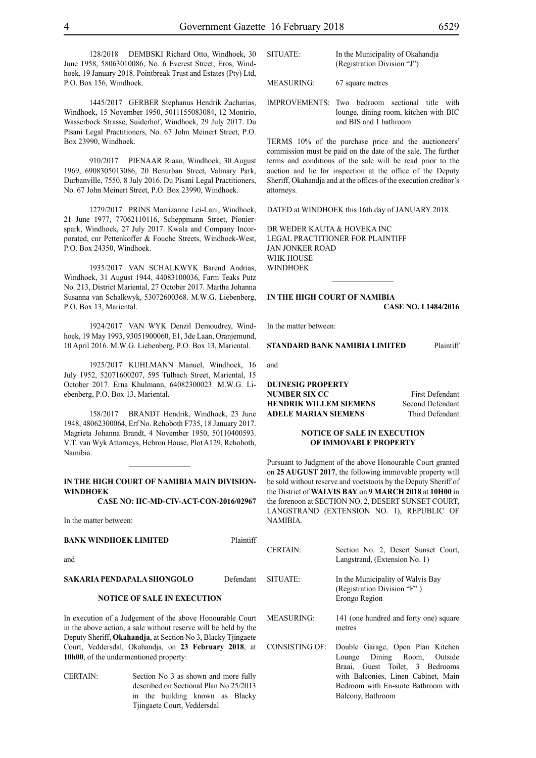128/2018 DEMBSKI Richard Otto, Windhoek, 30 June 1958, 58063010086, No. 6 Everest Street, Eros, Windhoek, 19 January 2018. Pointbreak Trust and Estates (Pty) Ltd, P.O. Box 156, Windhoek.

1445/2017 GERBER Stephanus Hendrik Zacharias, Windhoek, 15 November 1950, 5011155083084, 12 Montrio, Wasserbock Strasse, Suiderhof, Windhoek, 29 July 2017. Du Pisani Legal Practitioners, No. 67 John Meinert Street, P.O. Box 23990, Windhoek.

910/2017 PIENAAR Riaan, Windhoek, 30 August 1969, 6908305013086, 20 Benurban Street, Valmary Park, Durbanville, 7550, 8 July 2016. Du Pisani Legal Practitioners, No. 67 John Meinert Street, P.O. Box 23990, Windhoek.

1279/2017 PRINS Marrizanne Lei-Lani, Windhoek, 21 June 1977, 77062110116, Scheppmann Street, Pionierspark, Windhoek, 27 July 2017. Kwala and Company Incorporated, cnr Pettenkoffer & Fouche Streets, Windhoek-West, P.O. Box 24350, Windhoek.

1935/2017 VAN SCHALKWYK Barend Andrias, Windhoek, 31 August 1944, 44083100036, Farm Teaks Putz No. 213, District Mariental, 27 October 2017. Martha Johanna Susanna van Schalkwyk, 53072600368. M.W.G. Liebenberg, P.O. Box 13, Mariental.

1924/2017 VAN WYK Denzil Demoudrey, Windhoek, 19 May 1993, 93051900060, E1, 3de Laan, Oranjemund, 10 April 2016. M.W.G. Liebenberg, P.O. Box 13, Mariental.

1925/2017 KUHLMANN Manuel, Windhoek, 16 July 1952, 52071600207, 595 Tulbach Street, Mariental, 15 October 2017. Erna Khulmann, 64082300023. M.W.G. Liebenberg, P.O. Box 13, Mariental.

158/2017 BRANDT Hendrik, Windhoek, 23 June 1948, 48062300064, Erf No. Rehoboth F735, 18 January 2017. Magrieta Johanna Brandt, 4 November 1950, 50110400593. V.T. van Wyk Attorneys, Hebron House, Plot A129, Rehoboth, Namibia.

#### **IN THE HIGH COURT OF NAMIBIA MAIN DIVISION-WINDHOEK**

 $\frac{1}{2}$ 

**CASE NO: HC-MD-CIV-ACT-CON-2016/02967**

In the matter between:

#### **BANK WINDHOEK LIMITED** Plaintiff

and

#### **SAKARIA PENDAPALA SHONGOLO** Defendant

#### **NOTICE OF SALE IN EXECUTION**

In execution of a Judgement of the above Honourable Court in the above action, a sale without reserve will be held by the Deputy Sheriff, **Okahandja**, at Section No 3, Blacky Tjingaete Court, Veddersdal, Okahandja, on 23 February 2018, a **10h00**, of the undermentioned property:

CERTAIN: Section No 3 as shown and more fully described on Sectional Plan No 25/2013 in the building known as Blacky Tjingaete Court, Veddersdal

MEASURING: 67 square metres

IMPROVEMENTS: Two bedroom sectional title with lounge, dining room, kitchen with BIC and BIS and 1 bathroom

TERMS 10% of the purchase price and the auctioneers' commission must be paid on the date of the sale. The further terms and conditions of the sale will be read prior to the auction and lie for inspection at the office of the Deputy Sheriff, Okahandja and at the offices of the execution creditor's attorneys.

DATED at WINDHOEK this 16th day of JANUARY 2018.

 $\frac{1}{2}$ 

DR WEDER KAUTA & HOVEKA INC Legal Practitioner for Plaintiff Jan Jonker Road WHK HOUSE WINDHOEK

#### **IN THE HIGH COURT OF NAMIBIA**

**CASE No. I 1484/2016**

In the matter between:

#### **STANDARD BANK NAMIBIA LIMITED** Plaintiff

and

**DUINESIG PROPERTY NUMBER SIX CC** First Defendant **HENDRIK WILLEM SIEMENS** Second Defendant **ADELE MARIAN SIEMENS** Third Defendant

#### **NOTICE OF SALE IN EXECUTION OF IMMOVABLE PROPERTY**

Pursuant to Judgment of the above Honourable Court granted on **25 AUGUST 2017**, the following immovable property will be sold without reserve and voetstoots by the Deputy Sheriff of the District of **WALVIS BAY** on **9 MARCH 2018** at **10H00** in the forenoon at SECTION NO. 2, DESERT SUNSET COURT, LANGSTRAND (EXTENSION NO. 1), REPUBLIC OF NAMIBIA.

|              | <b>CERTAIN:</b>   | Section No. 2, Desert Sunset Court,<br>Langstrand, (Extension No. 1)                               |
|--------------|-------------------|----------------------------------------------------------------------------------------------------|
| ıt           | SITUATE:          | In the Municipality of Walvis Bay<br>(Registration Division "F")<br>Erongo Region                  |
| :t<br>e<br>e | <b>MEASURING:</b> | 141 (one hundred and forty one) square<br>metres                                                   |
| ıt           | CONSISTING OF:    | Double Garage, Open Plan Kitchen<br>Lounge Dining Room, Outside<br>Braai, Guest Toilet, 3 Bedrooms |
|              |                   | with Balconies, Linen Cabinet, Main                                                                |
| 3            |                   | Bedroom with En-suite Bathroom with                                                                |

Balcony, Bathroom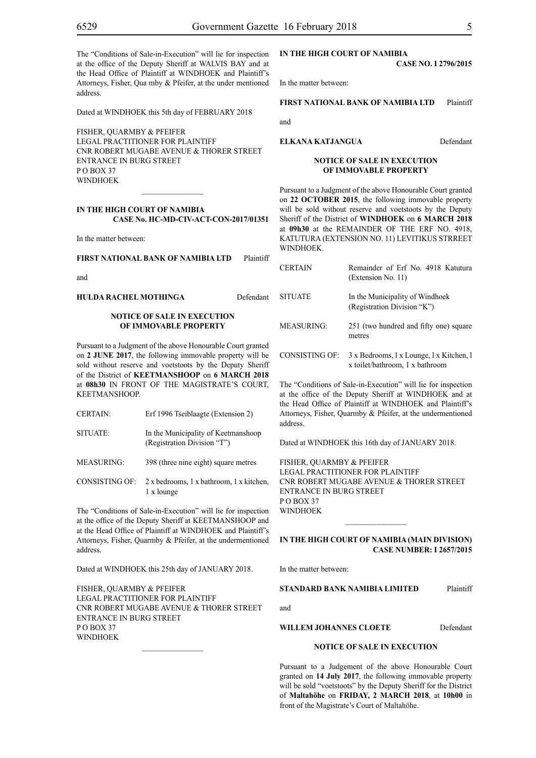The "Conditions of Sale-in-Execution" will lie for inspection at the office of the Deputy Sheriff at WALVIS BAY and at the Head Office of Plaintiff at WINDHOEK and Plaintiff's Attorneys, Fisher, Qua mby & Pfeifer, at the under mentioned address.

Dated at WINDHOEK this 5th day of FEBRUARY 2018

FISHER, QUARMBY & PFEIFER LEGAL PRACTITIONER FOR Plaintiff Cnr Robert Mugabe Avenue & Thorer Street Entrance in Burg Street PO BOX 37 WINDHOEK

#### **IN THE HIGH COURT OF NAMIBIA CASE No. HC-MD-CIV-ACT-CON-2017/01351**

In the matter between:

**FIRST NATIONAL BANK OF NAMIBIA LTD** Plaintiff

and

**HULDA RACHEL MOTHINGA** Defendant

#### **NOTICE OF SALE IN EXECUTION OF IMMOVABLE PROPERTY**

Pursuant to a Judgment of the above Honourable Court granted on **2 JUNE 2017**, the following immovable property will be sold without reserve and voetstoots by the Deputy Sheriff of the District of **KEETMANSHOOP** on **6 MARCH 2018** at **08h30** IN FRONT OF THE MAGISTRATE'S COURT, KEETMANSHOOP.

- CERTAIN: Erf 1996 Tseiblaagte (Extension 2)
- SITUATE: In the Municipality of Keetmanshoop (Registration Division "T")
- MEASURING: 398 (three nine eight) square metres
- CONSISTING OF: 2 x bedrooms, 1 x bathroom, 1 x kitchen, 1 x lounge

The "Conditions of Sale-in-Execution" will lie for inspection at the office of the Deputy Sheriff at KEETMANSHOOP and at the Head Office of Plaintiff at WINDHOEK and Plaintiff's Attorneys, Fisher, Quarmby & Pfeifer, at the undermentioned address.

Dated at WINDHOEK this 25th day of JANUARY 2018.

FISHER, QUARMBY & PFEIFER LEGAL PRACTITIONER FOR Plaintiff Cnr Robert Mugabe Avenue & Thorer Street Entrance in Burg Street P O BOX 37 **WINDHOEK** 

#### **IN THE HiGH COURT OF NAMIBIA**

**CASE No. I 2796/2015**

In the matter between:

#### **FIRST NATIONAL BANK OF NAMIBIA LTD** Plaintiff

and

#### **ELKANA KATJANGUA** Defendant

#### **NOTICE OF SALE IN EXECUTION OF IMMOVABLE PROPERTY**

Pursuant to a Judgment of the above Honourable Court granted on **22 OCTOBER 2015**, the following immovable property will be sold without reserve and voetstoots by the Deputy Sheriff of the District of **WINDHOEK** on **6 MARCH 2018**  at **09h30** at the REMAINDER OF THE ERF NO. 4918, KATUTURA (EXTENSION NO. 11) LEVITIKUS STRREET WINDHOEK.

| <b>CERTAIN</b> | Remainder of Erf No. 4918 Katutura<br>(Extension No. 11)                    |
|----------------|-----------------------------------------------------------------------------|
| <b>SITUATE</b> | In the Municipality of Windhoek<br>(Registration Division "K")              |
| MEASURING:     | 251 (two hundred and fifty one) square<br>metres                            |
| CONSISTING OF: | 3 x Bedrooms, 1 x Lounge, 1 x Kitchen, 1<br>x toilet/bathroom, 1 x bathroom |

The "Conditions of Sale-in-Execution" will lie for inspection at the office of the Deputy Sheriff at WINDHOEK and at the Head Office of Plaintiff at WINDHOEK and Plaintiff's Attorneys, Fisher, Quarmby & Pfeifer, at the undermentioned address.

Dated at WINDHOEK this 16th day of JANUARY 2018.

FISHER, QUARMBY & PFEIFER LEGAL PRACTITIONER FOR Plaintiff Cnr Robert Mugabe Avenue & Thorer Street Entrance in Burg Street P O BOX 37 WINDHOEK

**IN THE HIGH COURT OF NAMIBIA (Main Division) Case Number: I 2657/2015**

 $\mathcal{L}_\text{max}$ 

In the matter between:

#### **STANDARD BANK NAMIBIA LIMITED** Plaintiff

and

**WILLEM JOHANNES CLOETE** Defendant

#### **NOTICE OF SALE IN EXECUTION**

Pursuant to a Judgement of the above Honourable Court granted on **14 July 2017**, the following immovable property will be sold "voetstoots" by the Deputy Sheriff for the District of **Maltahöhe** on **FRIDAY, 2 MARCH 2018**, at **10h00** in front of the Magistrate's Court of Maltahöhe.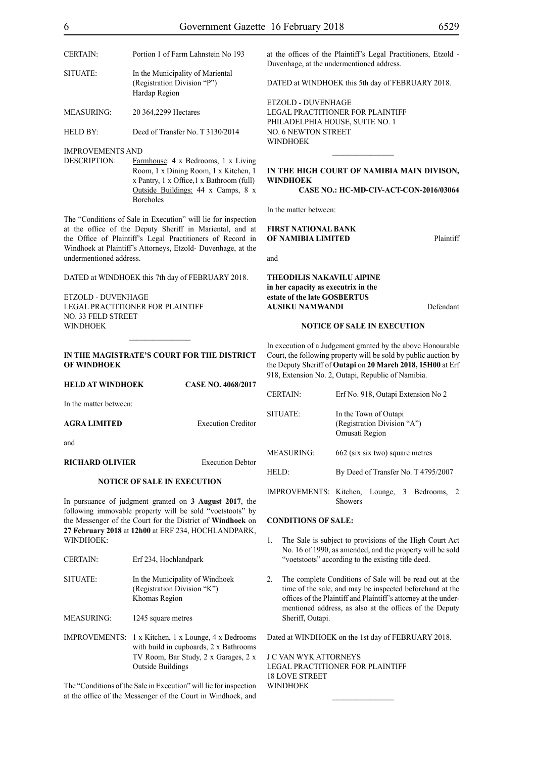| <b>CERTAIN:</b>   | Portion 1 of Farm Lahnstein No 193                                               |
|-------------------|----------------------------------------------------------------------------------|
| SITUATE:          | In the Municipality of Mariental<br>(Registration Division "P")<br>Hardap Region |
| <b>MEASURING:</b> | 20 364,2299 Hectares                                                             |
| HELD BY:          | Deed of Transfer No. T 3130/2014                                                 |

IMPROVEMENTS AND

DESCRIPTION: Farmhouse: 4 x Bedrooms, 1 x Living Room, 1 x Dining Room, 1 x Kitchen, 1 x Pantry, 1 x Office,1 x Bathroom (full) Outside Buildings: 44 x Camps, 8 x Boreholes

The "Conditions of Sale in Execution" will lie for inspection at the office of the Deputy Sheriff in Mariental, and at the Office of Plaintiff's Legal Practitioners of Record in Windhoek at Plaintiff's Attorneys, Etzold- Duvenhage, at the undermentioned address.

DATED at WINDHOEK this 7th day of FEBRUARY 2018.

ETZOLD - DUVENHAGE LEGAL PRACTITIONER FOR PLAINTIFF NO. 33 FELD STREET **WINDHOEK** 

#### **IN THE MAGISTRATE'S COURT FOR THE DISTRICT OF WINDHOEK**

| HELD AT WINDHOEK       | <b>CASE NO. 4068/2017</b> |
|------------------------|---------------------------|
| In the matter between: |                           |
| AGRA LIMITED           | <b>Execution Creditor</b> |
| and                    |                           |
| <b>RICHARD OLIVIER</b> | <b>Execution Debtor</b>   |

#### **NOTICE OF SALE IN EXECUTION**

In pursuance of judgment granted on **3 August 2017**, the following immovable property will be sold "voetstoots" by the Messenger of the Court for the District of **Windhoek** on **27 February 2018** at **12h00** at ERF 234, HOCHLANDPARK, WINDHOEK<sup>.</sup>

| <b>CERTAIN:</b>      | Erf 234, Hochlandpark                                                                                                                               |
|----------------------|-----------------------------------------------------------------------------------------------------------------------------------------------------|
| SITUATE:             | In the Municipality of Windhoek<br>(Registration Division "K")<br>Khomas Region                                                                     |
| MEASURING:           | 1245 square metres                                                                                                                                  |
| <b>IMPROVEMENTS:</b> | 1 x Kitchen, 1 x Lounge, 4 x Bedrooms<br>with build in cupboards, 2 x Bathrooms<br>TV Room, Bar Study, 2 x Garages, 2 x<br><b>Outside Buildings</b> |

The "Conditions of the Sale in Execution" will lie for inspection at the office of the Messenger of the Court in Windhoek, and

DATED at WINDHOEK this 5th day of FEBRUARY 2018.

ETZOLD - DUVENHAGE LEGAL PRACTITIONER FOR PLAINTIFF PHILADELPHIA HOUSE, SUITE NO. 1 NO. 6 NEWTON STREET WINDHOEK

### **IN THE HIGH COURT OF NAMIBIA MAIN DIVISON, WINDHOEK**

 $\frac{1}{2}$ 

#### **CASE NO.: HC-MD-CIV-ACT-CON-2016/03064**

In the matter between:

#### **FIRST NATIONAL BANK OF NAMIBIA LIMITED** Plaintiff

and

#### **THEODILIS NAKAVILU AlPINE in her capacity as executrix in the estate of the late GOSBERTUS AUSIKU NAMWANDI** Defendant

#### **NOTICE OF SALE IN EXECUTION**

In execution of a Judgement granted by the above Honourable Court, the following property will be sold by public auction by the Deputy Sheriff of **Outapi** on **20 March 2018, 15H00** at Erf 918, Extension No. 2, Outapi, Republic of Namibia.

| <b>CERTAIN</b>    | Erf No. 918, Outapi Extension No 2                                     |
|-------------------|------------------------------------------------------------------------|
| SITUATE:          | In the Town of Outapi<br>(Registration Division "A")<br>Omusati Region |
| <b>MEASURING:</b> | 662 (six six two) square metres                                        |
| HELD:             | By Deed of Transfer No. T 4795/2007                                    |
|                   | IMPROVEMENTS: Kitchen, Lounge, 3 Bedrooms,<br>-2<br>Showers            |

#### **CONDITIONS OF SALE:**

- 1. The Sale is subject to provisions of the High Court Act No. 16 of 1990, as amended, and the property will be sold "voetstoots" according to the existing title deed.
- 2. The complete Conditions of Sale will be read out at the time of the sale, and may be inspected beforehand at the offices of the Plaintiff and Plaintiff's attorney at the undermentioned address, as also at the offices of the Deputy Sheriff, Outapi.

Dated at WINDHOEK on the 1st day of FEBRUARY 2018.

J C VAN WYK ATTORNEYS Legal Practitioner for Plaintiff 18 LOVE STREET **WINDHOFK**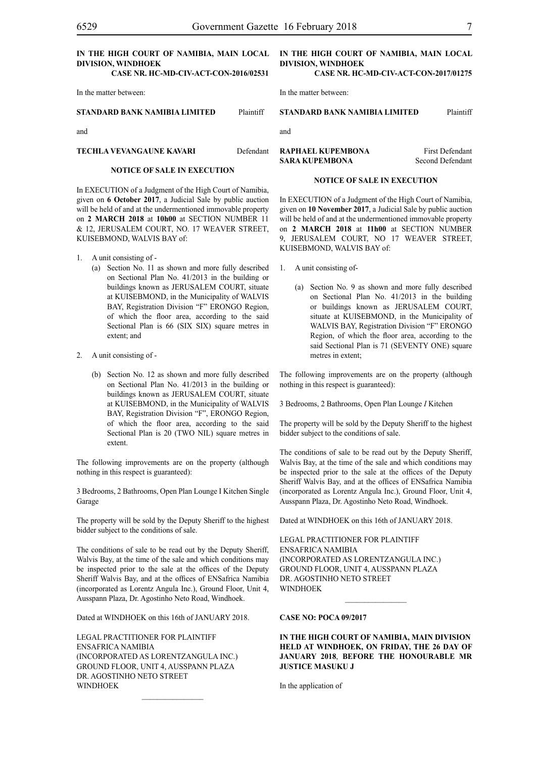**Case Nr. HC-MD-CIV-ACT-CON-2016/02531**

In the matter between:

**STANDARD BANK NAMIBIA LIMITED** Plaintiff

and

**TECHLA VEVANGAUNE KAVARI** Defendant

#### **NOTICE OF SALE IN EXECUTION**

In EXECUTION of a Judgment of the High Court of Namibia, given on **6 October 2017**, a Judicial Sale by public auction will be held of and at the undermentioned immovable property on **2 MARCH 2018** at **10h00** at SECTION NUMBER 11 & 12, JERUSALEM COURT, NO. 17 WEAVER STREET, KUISEBMOND, WALVIS BAY of:

- 1. A unit consisting of
	- (a) Section No. 11 as shown and more fully described on Sectional Plan No. 41/2013 in the building or buildings known as JERUSALEM COURT, situate at KUISEBMOND, in the Municipality of WALVIS BAY, Registration Division "F" ERONGO Region, of which the floor area, according to the said Sectional Plan is 66 (SIX SIX) square metres in extent; and
- 2. A unit consisting of
	- (b) Section No. 12 as shown and more fully described on Sectional Plan No. 41/2013 in the building or buildings known as JERUSALEM COURT, situate at KUISEBMOND, in the Municipality of WALVIS BAY, Registration Division "F", ERONGO Region, of which the floor area, according to the said Sectional Plan is 20 (TWO NIL) square metres in extent.

The following improvements are on the property (although nothing in this respect is guaranteed):

3 Bedrooms, 2 Bathrooms, Open Plan Lounge I Kitchen Single Garage

The property will be sold by the Deputy Sheriff to the highest bidder subject to the conditions of sale.

The conditions of sale to be read out by the Deputy Sheriff, Walvis Bay, at the time of the sale and which conditions may be inspected prior to the sale at the offices of the Deputy Sheriff Walvis Bay, and at the offices of ENSafrica Namibia (incorporated as Lorentz Angula Inc.), Ground Floor, Unit 4, Ausspann Plaza, Dr. Agostinho Neto Road, Windhoek.

Dated at WINDHOEK on this 16th of JANUARY 2018.

Legal Practitioner for Plaintiff ENSafrica Namibia (incorporated as LorentzAngula Inc.) Ground Floor, Unit 4, Ausspann Plaza DR. AGOSTINHO NETO STREET **WINDHOEK** 

#### **IN THE HIGH COURT OF NAMIBIA, MAIN LOCAL DIVISION, WINDHOEK**

**Case Nr. HC-MD-CIV-ACT-CON-2017/01275**

In the matter between:

**STANDARD BANK NAMIBIA LIMITED** Plaintiff

**RAPHAEL KUPEMBONA** First Defendant **SARA KUPEMBONA** Second Defendant

#### **NOTICE OF SALE IN EXECUTION**

In EXECUTION of a Judgment of the High Court of Namibia, given on **10 November 2017**, a Judicial Sale by public auction will be held of and at the undermentioned immovable property on **2 MARCH 2018** at **11h00** at SECTION NUMBER 9, JERUSALEM COURT, NO 17 WEAVER STREET, KUISEBMOND, WALVIS BAY of:

- 1. A unit consisting of-
	- (a) Section No. 9 as shown and more fully described on Sectional Plan No. 41/2013 in the building or buildings known as JERUSALEM COURT, situate at KUISEBMOND, in the Municipality of WALVIS BAY, Registration Division "F" ERONGO Region, of which the floor area, according to the said Sectional Plan is 71 (SEVENTY ONE) square metres in extent;

The following improvements are on the property (although nothing in this respect is guaranteed):

3 Bedrooms, 2 Bathrooms, Open Plan Lounge *I* Kitchen

The property will be sold by the Deputy Sheriff to the highest bidder subject to the conditions of sale.

The conditions of sale to be read out by the Deputy Sheriff, Walvis Bay, at the time of the sale and which conditions may be inspected prior to the sale at the offices of the Deputy Sheriff Walvis Bay, and at the offices of ENSafrica Namibia (incorporated as Lorentz Angula Inc.), Ground Floor, Unit 4, Ausspann Plaza, Dr. Agostinho Neto Road, Windhoek.

Dated at WINDHOEK on this 16th of JANUARY 2018.

Legal Practitioner for Plaintiff ENSafrica Namibia (incorporated as LorentzAngula Inc.) Ground Floor, Unit 4, Ausspann Plaza Dr. Agostinho Neto Street WINDHOEK

#### **CASE NO: POCA 09/2017**

**IN THE HIGH COURT OF NAMIBIA, MAIN DIVISION HELD AT WINDHOEK, ON FRIDAY, THE 26 DAY OF JANUARY 2018**, **BEFORE THE HONOURABLE MR JUSTICE MASUKU J**

 $\frac{1}{2}$ 

In the application of

and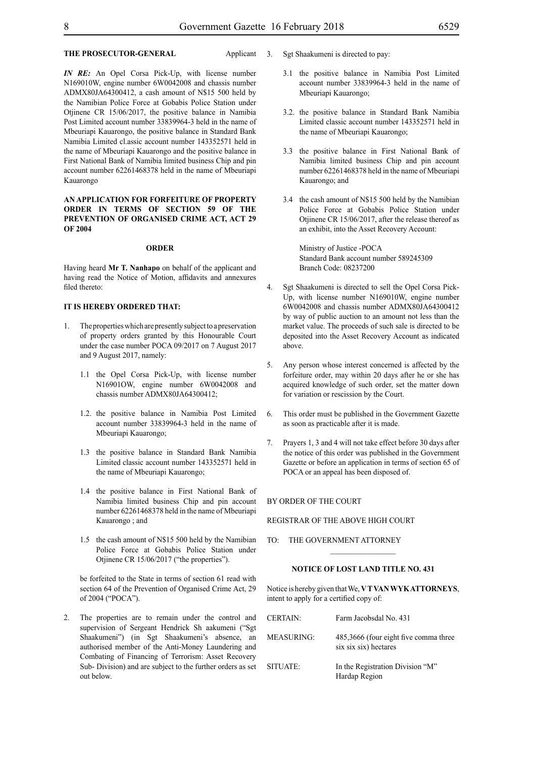### **THE PROSECUTOR-GENERAL** Applicant

*IN RE:* An Opel Corsa Pick-Up, with license number N169010W, engine number 6W0042008 and chassis number ADMX80JA64300412, a cash amount of N\$15 500 held by the Namibian Police Force at Gobabis Police Station under Otjinene CR 15/06/2017, the positive balance in Namibia Post Limited account number 33839964-3 held in the name of Mbeuriapi Kauarongo, the positive balance in Standard Bank Namibia Limited cl.assic account number 143352571 held in the name of Mbeuriapi Kauarongo and the positive balance in First National Bank of Namibia limited business Chip and pin account number 62261468378 held in the name of Mbeuriapi Kauarongo

#### **AN APPLICATION FOR FORFEITURE OF PROPERTY ORDER IN TERMS OF SECTION 59 OF THE PREVENTION OF ORGANISED CRIME ACT, ACT 29 OF 2004**

#### **ORDER**

Having heard **Mr T. Nanhapo** on behalf of the applicant and having read the Notice of Motion, affidavits and annexures filed thereto:

#### **IT IS HEREBY ORDERED THAT:**

- 1. The properties which are presently subject to a preservation of property orders granted by this Honourable Court under the case number POCA 09/2017 on 7 August 2017 and 9 August 2017, namely:
	- 1.1 the Opel Corsa Pick-Up, with license number N16901OW, engine number 6W0042008 and chassis number ADMX80JA64300412;
	- 1.2. the positive balance in Namibia Post Limited account number 33839964-3 held in the name of Mbeuriapi Kauarongo;
	- 1.3 the positive balance in Standard Bank Namibia Limited classic account number 143352571 held in the name of Mbeuriapi Kauarongo;
	- 1.4 the positive balance in First National Bank of Namibia limited business Chip and pin account number 62261468378 held in the name of Mbeuriapi Kauarongo ; and
	- 1.5 the cash amount of N\$15 500 held by the Namibian Police Force at Gobabis Police Station under Otjinene CR 15/06/2017 ("the properties").

be forfeited to the State in terms of section 61 read with section 64 of the Prevention of Organised Crime Act, 29 of 2004 ("POCA").

2. The properties are to remain under the control and supervision of Sergeant Hendrick Sh aakumeni ("Sgt Shaakumeni") (in Sgt Shaakumeni's absence, an authorised member of the Anti-Money Laundering and Combating of Financing of Terrorism: Asset Recovery Sub- Division) and are subject to the further orders as set out below.

3. Sgt Shaakumeni is directed to pay:

- 3.1 the positive balance in Namibia Post Limited account number 33839964-3 held in the name of Mbeuriapi Kauarongo;
- 3.2. the positive balance in Standard Bank Namibia Limited classic account number 143352571 held in the name of Mbeuriapi Kauarongo;
- 3.3 the positive balance in First National Bank of Namibia limited business Chip and pin account number 62261468378 held in the name of Mbeuriapi Kauarongo; and
- 3.4 the cash amount of N\$15 500 held by the Namibian Police Force at Gobabis Police Station under Otjinene CR 15/06/2017, after the release thereof as an exhibit, into the Asset Recovery Account:

Ministry of Justice -POCA Standard Bank account number 589245309 Branch Code: 08237200

- 4. Sgt Shaakumeni is directed to sell the Opel Corsa Pick-Up, with license number N169010W, engine number 6W0042008 and chassis number ADMX80JA64300412 by way of public auction to an amount not less than the market value. The proceeds of such sale is directed to be deposited into the Asset Recovery Account as indicated above.
- 5. Any person whose interest concerned is affected by the forfeiture order, may within 20 days after he or she has acquired knowledge of such order, set the matter down for variation or rescission by the Court.
- 6. This order must be published in the Government Gazette as soon as practicable after it is made.
- 7. Prayers 1, 3 and 4 will not take effect before 30 days after the notice of this order was published in the Government Gazette or before an application in terms of section 65 of POCA or an appeal has been disposed of.

#### BY ORDER OF THE COURT

REGISTRAR OF THE ABOVE HIGH COURT

TO: THE GOVERNMENT ATTORNEY

#### **NOTICE OF LOST LAND TITLE NO. 431**

Notice is hereby given that We, **V T VAN WYK ATTORNEYS**, intent to apply for a certified copy of:

| <b>CERTAIN:</b>   | Farm Jacobsdal No. 431                                         |
|-------------------|----------------------------------------------------------------|
| <b>MEASURING:</b> | 485,3666 (four eight five comma three<br>six six six) hectares |
| SITUATE:          | In the Registration Division "M"<br>Hardap Region              |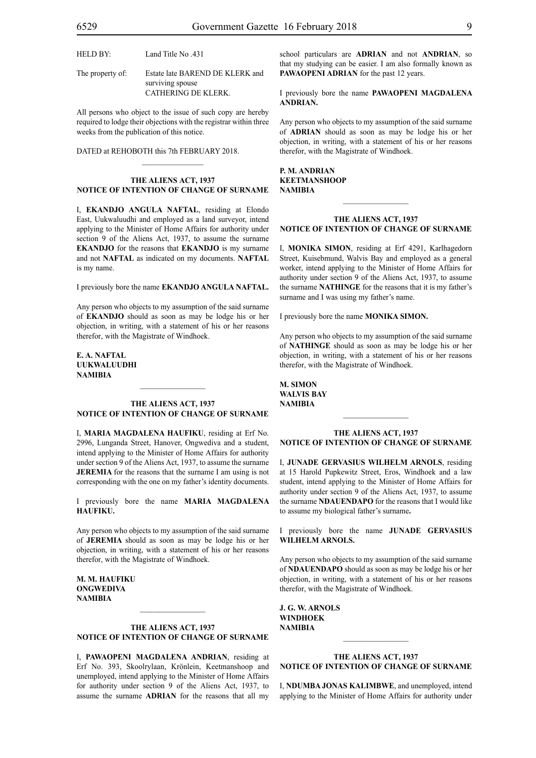HELD BY: Land Title No .431

The property of: Estate late BAREND DE KLERK and surviving spouse CATHERING DE KLERK.

All persons who object to the issue of such copy are hereby required to lodge their objections with the registrar within three weeks from the publication of this notice.

DATED at REHOBOTH this 7th FEBRUARY 2018.

#### **THE ALIENS ACT, 1937 NOTICE OF INTENTION OF CHANGE OF SURNAME**

 $\mathcal{L}=\mathcal{L}^{\mathcal{L}}$ 

I, **ekandjo angula naftal**, residing at Elondo East, Uukwaluudhi and employed as a land surveyor, intend applying to the Minister of Home Affairs for authority under section 9 of the Aliens Act, 1937, to assume the surname **EKANDJO** for the reasons that **EKANDJO** is my surname and not **NAFTAL** as indicated on my documents. **NAFTAL** is my name.

I previously bore the name **ekandjo angula naftal.**

Any person who objects to my assumption of the said surname of **EKANDJO** should as soon as may be lodge his or her objection, in writing, with a statement of his or her reasons therefor, with the Magistrate of Windhoek.

#### **e. a. naftal uukwaluudhi NAMIBIA**

#### **THE ALIENS ACT, 1937 NOTICE OF INTENTION OF CHANGE OF SURNAME**

I, **maria magdalena haufiku**, residing at Erf No. 2996, Lunganda Street, Hanover, Ongwediva and a student, intend applying to the Minister of Home Affairs for authority under section 9 of the Aliens Act, 1937, to assume the surname **JEREMIA** for the reasons that the surname I am using is not corresponding with the one on my father's identity documents.

I previously bore the name **MARIA MAGDALENA haufiku.**

Any person who objects to my assumption of the said surname of **JEREMIA** should as soon as may be lodge his or her objection, in writing, with a statement of his or her reasons therefor, with the Magistrate of Windhoek.

**m. m. haufiku ongwediva NAMIBIA**

#### **THE ALIENS ACT, 1937 NOTICE OF INTENTION OF CHANGE OF SURNAME**

 $\frac{1}{2}$ 

I, **pawaopeni magdalena andrian**, residing at Erf No. 393, Skoolrylaan, Krönlein, Keetmanshoop and unemployed, intend applying to the Minister of Home Affairs for authority under section 9 of the Aliens Act, 1937, to assume the surname **ADRIAN** for the reasons that all my

school particulars are **ADRIAN** and not **ANDRIAN**, so that my studying can be easier. I am also formally known as PAWAOPENI ADRIAN for the past 12 years.

I previously bore the name **pawaopeni magdalena andrian.**

Any person who objects to my assumption of the said surname of **ADRIAN** should as soon as may be lodge his or her objection, in writing, with a statement of his or her reasons therefor, with the Magistrate of Windhoek.

#### **p. m. andrian keetmanshoop NAMIBIA**

#### **THE ALIENS ACT, 1937 NOTICE OF INTENTION OF CHANGE OF SURNAME**

 $\frac{1}{2}$ 

I, **monika simon**, residing at Erf 4291, Karlhagedorn Street, Kuisebmund, Walvis Bay and employed as a general worker, intend applying to the Minister of Home Affairs for authority under section 9 of the Aliens Act, 1937, to assume the surname **NATHINGE** for the reasons that it is my father's surname and I was using my father's name.

I previously bore the name **monika simon.**

Any person who objects to my assumption of the said surname of **nathinge** should as soon as may be lodge his or her objection, in writing, with a statement of his or her reasons therefor, with the Magistrate of Windhoek.

**m. simon walvis bay NAMIBIA**

#### **THE ALIENS ACT, 1937 NOTICE OF INTENTION OF CHANGE OF SURNAME**

 $\frac{1}{2}$ 

I, **junade gervasius wilhelm arnols**, residing at 15 Harold Pupkewitz Street, Eros, Windhoek and a law student, intend applying to the Minister of Home Affairs for authority under section 9 of the Aliens Act, 1937, to assume the surname **NDAUENDAPO** for the reasons that I would like to assume my biological father's surname**.**

I previously bore the name **junade gervasius wilhelm arnols.**

Any person who objects to my assumption of the said surname of **NDAUENDAPO** should as soon as may be lodge his or her objection, in writing, with a statement of his or her reasons therefor, with the Magistrate of Windhoek.

**j. g. w. arnols Windhoek NAMIBIA**

#### **THE ALIENS ACT, 1937 NOTICE OF INTENTION OF CHANGE OF SURNAME**

 $\frac{1}{2}$ 

I, **NDUMBA JONAS KALIMBWE**, and unemployed, intend applying to the Minister of Home Affairs for authority under